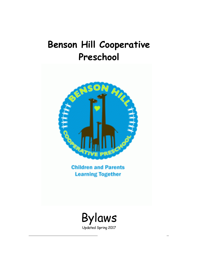# **Benson Hill Cooperative Preschool**



**Children and Parents Learning Together** 

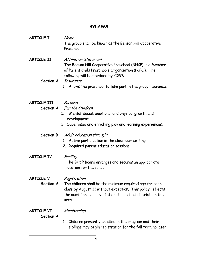# **BYLAWS**

| ARTICLE I | Name                                                                  |
|-----------|-----------------------------------------------------------------------|
|           | The group shall be known as the Benson Hill Cooperative<br>Preschool. |

**ARTICLE II** Affiliation Statement The Benson Hill Cooperative Preschool (BHCP) is a Member of Parent Child Preschools Organization (PCPO). The following will be provided by PCPO:

**Section A** Insurance

1. Allows the preschool to take part in the group insurance.

- **ARTICLE III** Purpose **Section A** For the Children
	- 1. Mental, social, emotional and physical growth and development
	- 2. Supervised and enriching play and learning experiences.

#### **Section B** Adult education through:

- 1. Active participation in the classroom setting
- 2. Required parent education sessions.
- **ARTICLE IV** Facility

The BHCP Board arranges and secures an appropriate location for the school.

**ARTICLE V** Registration

**Section A** The children shall be the minimum required age for each class by August 31 without exception. This policy reflects the admittance policy of the public school districts in the area.

#### **ARTICLE VI** Membership

#### **Section A**

1. Children presently enrolled in the program and their siblings may begin registration for the fall term no later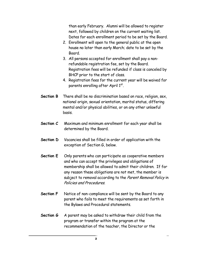than early February. Alumni will be allowed to register next, followed by children on the current waiting list. Dates for each enrollment period to be set by the Board.

- 2. Enrollment will open to the general public at the open house no later than early March; date to be set by the Board.
- 3. All persons accepted for enrollment shall pay a nonrefundable registration fee, set by the Board. Registration fees will be refunded if class is canceled by BHCP prior to the start of class.
- 4. Registration fees for the current year will be waived for parents enrolling after April 1st.
- **Section B** There shall be no discrimination based on race, religion, sex, national origin, sexual orientation, marital status, differing mental and/or physical abilities, or on any other unlawful basis.
- **Section C** Maximum and minimum enrollment for each year shall be determined by the Board.
- **Section D** Vacancies shall be filled in order of application with the exception of Section G, below.
- **Section E** Only parents who can participate as cooperative members and who can accept the privileges and obligations of membership shall be allowed to admit their children. If for any reason these obligations are not met, the member is subject to removal according to the Parent Removal Policy in Policies and Procedures.
- **Section F** Notice of non-compliance will be sent by the Board to any parent who fails to meet the requirements as set forth in the Bylaws and Procedural statements.
- **Section G** A parent may be asked to withdraw their child from the program or transfer within the program at the recommendation of the teacher, the Director or the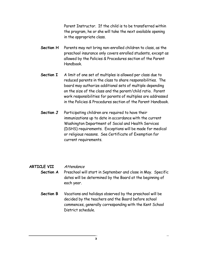Parent Instructor. If the child is to be transferred within the program, he or she will take the next available opening in the appropriate class.

- **Section H** Parents may not bring non-enrolled children to class, as the preschool insurance only covers enrolled students, except as allowed by the Policies & Procedures section of the Parent Handbook.
- **Section I** A limit of one set of multiples is allowed per class due to reduced parents in the class to share responsibilities. The board may authorize additional sets of multiple depending on the size of the class and the parent/child ratio. Parent work responsibilities for parents of multiples are addressed in the Policies & Procedures section of the Parent Handbook.
- **Section J** Participating children are required to have their immunizations up to date in accordance with the current Washington Department of Social and Health Services (DSHS) requirements. Exceptions will be made for medical or religious reasons. See Certificate of Exemption for current requirements.

#### **ARTICLE VII** Attendance

- **Section A** Preschool will start in September and close in May. Specific dates will be determined by the Board at the beginning of each year.
	- **Section B** Vacations and holidays observed by the preschool will be decided by the teachers and the Board before school commences, generally corresponding with the Kent School District schedule.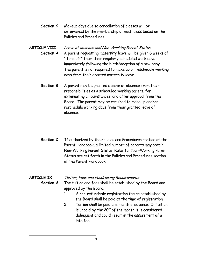**Section C** Makeup days due to cancellation of classes will be determined by the membership of each class based on the Policies and Procedures.

## **ARTICLE VIII** Leave of absence and Non-Working Parent Status **Section A** A parent requesting maternity leave will be given 6 weeks of " time off" from their regularly scheduled work days immediately following the birth/adoption of a new baby. The parent is not required to make up or reschedule working days from their granted maternity leave.

- **Section B** A parent may be granted a leave of absence from their responsibilities as a scheduled working parent, for extenuating circumstances, and after approval from the Board. The parent may be required to make up and/or reschedule working days from their granted leave of absence.
- **Section C** If authorized by the Policies and Procedures section of the Parent Handbook, a limited number of parents may obtain Non-Working Parent Status. Rules for Non-Working Parent Status are set forth in the Policies and Procedures section of the Parent Handbook.

#### **ARTICLE IX** Tuition, Fees and Fundraising Requirements

- **Section A** The tuition and fees shall be established by the Board and approved by the Board.
	- 1. A non-refundable registration fee as established by the Board shall be paid at the time of registration.
	- 2. Tuition shall be paid one month in advance. If tuition is unpaid by the  $20<sup>th</sup>$  of the month it is considered delinquent and could result in the assessment of a late fee.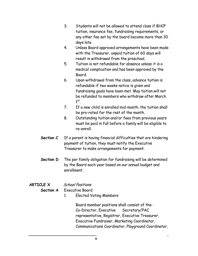- 3. Students will not be allowed to attend class if BHCP tuition, insurance fee, fundraising requirements, or any other fee set by the board become more than 30 days late.
- 4. Unless Board approved arrangements have been made with the Treasurer, unpaid tuition of 60 days will result in withdrawal from the preschool.
- 5. Tuition is not refundable for absence unless it is a medical complication and has been approved by the Board.
- 6. Upon withdrawal from the class, advance tuition is refundable if two weeks notice is given and fundraising goals have been met. May tuition will not be refunded to members who withdraw after March  $1^\mathsf{st}$ .
- 7. If a new child is enrolled mid-month, the tuition shall be pro-rated for the rest of the month.
- 8. Outstanding tuition and/or fees from previous years must be paid in full before a family will be eligible to re-enroll.
- **Section C** If a parent is having financial difficulties that are hindering payment of tuition, they must notify the Executive Treasurer to make arrangements for payment.
- **Section D** The per family obligation for fundraising will be determined by the Board each year based on our annual budget and enrollment.
- **ARTICLE X** School Positions
	- **Section A** Executive Board
		- 1. Elected Voting Members

Board member positions shall consist of the: Co-Director, Executive Secretary/PAC representative, Registrar, Executive Treasurer, Executive Fundraiser, Marketing Coordinator, Communications Coordinator, Playground Coordinator,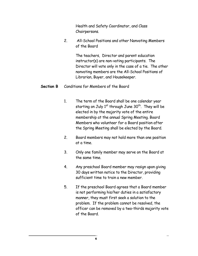Health and Safety Coordinator, and Class Chairpersons.

2. All-School Positions and other Nonvoting Members of the Board

> The teachers, Director and parent education instructor(s) are non-voting participants. The Director will vote only in the case of a tie. The other nonvoting members are the All-School Positions of Librarian, Buyer, and Housekeeper.

#### **Section B** Conditions for Members of the Board

- 1. The term of the Board shall be one calendar year starting on July  $1^{st}$  through June  $30^{th}$ . They will be elected in by the majority vote of the entire membership at the annual Spring Meeting. Board Members who volunteer for a Board position after the Spring Meeting shall be elected by the Board.
- 2. Board members may not hold more than one position at a time.
- 3. Only one family member may serve on the Board at the same time.
- 4. Any preschool Board member may resign upon giving 30 days written notice to the Director, providing sufficient time to train a new member.
- 5. If the preschool Board agrees that a Board member is not performing his/her duties in a satisfactory manner, they must first seek a solution to the problem. If the problem cannot be resolved, the officer can be removed by a two-thirds majority vote of the Board.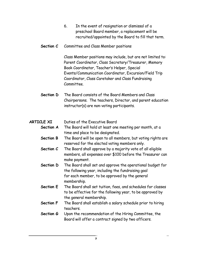- 6. In the event of resignation or dismissal of a preschool Board member, a replacement will be recruited/appointed by the Board to fill that term.
- **Section C** Committee and Class Member positions

Class Member positions may include, but are not limited to: Parent Coordinator, Class Secretary/Treasurer, Memory Book Coordinator, Teacher's Helper, Special Events/Communication Coordinator, Excursion/Field Trip Coordinator, Class Caretaker and Class Fundraising Committee.

**Section D** The Board consists of the Board Members and Class Chairpersons. The teachers, Director, and parent education instructor(s) are non-voting participants.

## **ARTICLE XI** Duties of the Executive Board

- **Section A** The Board will hold at least one meeting per month, at a time and place to be designated.
	- **Section B** The Board will be open to all members, but voting rights are reserved for the elected voting members only.
	- **Section C** The Board shall approve by a majority vote of all eligible members, all expenses over \$100 before the Treasurer can make payment.
	- **Section D** The Board shall set and approve the operational budget for the following year, including the fundraising goal for each member, to be approved by the general membership.
	- **Section E** The Board shall set tuition, fees, and schedules for classes to be effective for the following year, to be approved by the general membership.
	- **Section F** The Board shall establish a salary schedule prior to hiring teachers.
	- **Section G** Upon the recommendation of the Hiring Committee, the Board will offer a contract signed by two officers.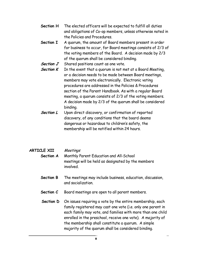- **Section H** The elected officers will be expected to fulfill all duties and obligations of Co-op members, unless otherwise noted in the Policies and Procedures.
- **Section I** A quorum, the amount of Board members present in order for business to occur, for Board meetings consists of 2/3 of the voting members of the Board. A decision made by 2/3 of the quorum shall be considered binding.
- **Section J** Shared positions count as one vote.
- **Section K** In the event that a quorum is not met at a Board Meeting, or a decision needs to be made between Board meetings, members may vote electronically. Electronic voting procedures are addressed in the Policies & Procedures section of the Parent Handbook. As with a regular Board meeting, a quorum consists of 2/3 of the voting members. A decision made by 2/3 of the quorum shall be considered binding.
- **Section L** Upon direct discovery, or confirmation of reported discovery, of any conditions that the board deems dangerous or hazardous to children's safety, the membership will be notified within 24 hours.

#### **ARTICLE XII** Meetings

- **Section A** Monthly Parent Education and All-School meetings will be held as designated by the members involved.
- **Section B** The meetings may include business, education, discussion, and socialization.
- **Section C** Board meetings are open to all parent members.
- **Section D** On issues requiring a vote by the entire membership, each family registered may cast one vote (i.e. only one parent in each family may vote, and families with more than one child enrolled in the preschool, receive one vote). A majority of the membership shall constitute a quorum. A simple majority of the quorum shall be considered binding.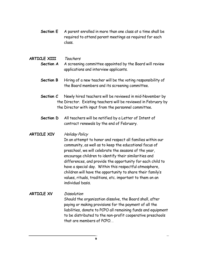**Section E** A parent enrolled in more than one class at a time shall be required to attend parent meetings as required for each class.

#### **ARTICLE XIII** Teachers **Section A** A screening committee appointed by the Board will review applications and interview applicants.

- **Section B** Hiring of a new teacher will be the voting responsibility of the Board members and its screening committee.
- **Section C** Newly hired teachers will be reviewed in mid-November by the Director. Existing teachers will be reviewed in February by the Director with input from the personnel committee.
- **Section D** All teachers will be notified by a Letter of Intent of contract renewals by the end of February.

#### **ARTICLE XIV** Holiday Policy

In an attempt to honor and respect all families within our community, as well as to keep the educational focus of preschool, we will celebrate the seasons of the year, encourage children to identify their similarities and differences, and provide the opportunity for each child to have a special day. Within this respectful atmosphere, children will have the opportunity to share their family's values, rituals, traditions, etc. important to them on an individual basis.

#### **ARTICLE XV** Dissolution Should the organization dissolve, the Board shall, after paying or making provisions for the payment of all the liabilities, donate to PCPO all remaining funds and equipment to be distributed to the non-profit cooperative preschools that are members of PCPO. .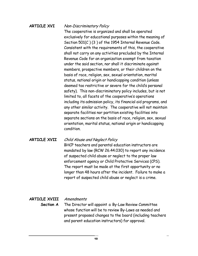#### **ARTICLE XVI** Non-Discriminatory Policy

The cooperative is organized and shall be operated exclusively for educational purposes within the meaning of Section 501(C ) (3 ) of the 1954 Internal Revenue Code. Consistent with the requirements of this, the cooperative shall not carry on any activities precluded by the Internal Revenue Code for an organization exempt from taxation under the said section, nor shall it discriminate against members, prospective members, or their children on the basis of race, religion, sex, sexual orientation, marital status, national origin or handicapping condition (unless deemed too restrictive or severe for the child's personal safety). This non-discriminatory policy includes, but is not limited to, all facets of the cooperative's operations including its admission policy, its financial aid programs, and any other similar activity. The cooperative will not maintain separate facilities nor partition existing facilities into separate sections on the basis of race, religion, sex, sexual orientation, marital status, national origin or handicapping condition.

#### **ARTICLE XVII** Child Abuse and Neglect Policy

BHCP teachers and parental education instructors are mandated by law (RCW 26.44.030) to report any incidence of suspected child abuse or neglect to the proper law enforcement agency or Child Protective Services (CPS). The report must be made at the first opportunity or no longer than 48 hours after the incident. Failure to make a report of suspected child abuse or neglect is a crime.

#### **ARTICLE XVIII** Amendments

**Section A** The Director will appoint a By-Law Review Committee whose function will be to review By-Laws as needed and present proposed changes to the board (including teachers and parent education instructors) for approval.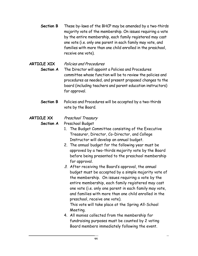**Section B** These by-laws of the BHCP may be amended by a two-thirds majority vote of the membership. On issues requiring a vote by the entire membership, each family registered may cast one vote (i.e. only one parent in each family may vote, and families with more than one child enrolled in the preschool, receive one vote).

# **ARTICLE XIX** Policies and Procedures

**Section A** The Director will appoint a Policies and Procedures committee whose function will be to review the policies and procedures as needed, and present proposed changes to the board (including teachers and parent education instructors) for approval.

**Section B** Policies and Procedures will be accepted by a two-thirds vote by the Board.

## **ARTICLE XX** Preschool Treasury

#### **Section A** Preschool Budget

- 1. The Budget Committee consisting of the Executive Treasurer, Director, Co-Director, and College Instructor will develop an annual budget.
- 2. The annual budget for the following year must be approved by a two-thirds majority vote by the Board before being presented to the preschool membership for approval.
- 3. After receiving the Board's approval, the annual budget must be accepted by a simple majority vote of the membership. On issues requiring a vote by the entire membership, each family registered may cast one vote (i.e. only one parent in each family may vote, and families with more than one child enrolled in the preschool, receive one vote).

This vote will take place at the Spring All-School Meeting.

4. All monies collected from the membership for fundraising purposes must be counted by 2 voting Board members immediately following the event.